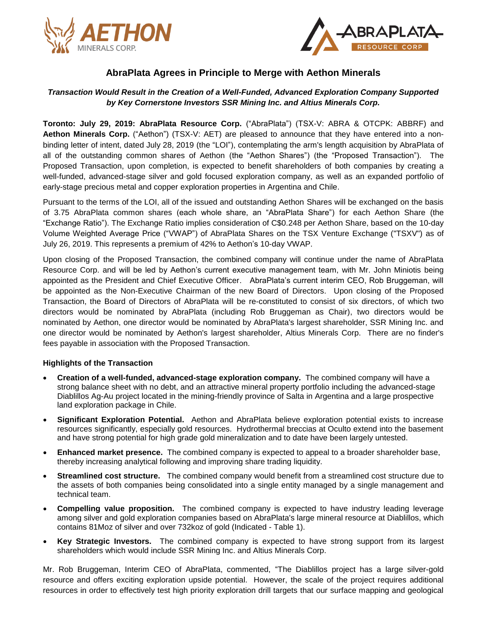



# **AbraPlata Agrees in Principle to Merge with Aethon Minerals**

## *Transaction Would Result in the Creation of a Well-Funded, Advanced Exploration Company Supported by Key Cornerstone Investors SSR Mining Inc. and Altius Minerals Corp.*

**Toronto: July 29, 2019: AbraPlata Resource Corp.** ("AbraPlata") (TSX-V: ABRA & OTCPK: ABBRF) and **Aethon Minerals Corp.** ("Aethon") (TSX-V: AET) are pleased to announce that they have entered into a nonbinding letter of intent, dated July 28, 2019 (the "LOI"), contemplating the arm's length acquisition by AbraPlata of all of the outstanding common shares of Aethon (the "Aethon Shares") (the "Proposed Transaction"). The Proposed Transaction, upon completion, is expected to benefit shareholders of both companies by creating a well-funded, advanced-stage silver and gold focused exploration company, as well as an expanded portfolio of early-stage precious metal and copper exploration properties in Argentina and Chile.

Pursuant to the terms of the LOI, all of the issued and outstanding Aethon Shares will be exchanged on the basis of 3.75 AbraPlata common shares (each whole share, an "AbraPlata Share") for each Aethon Share (the "Exchange Ratio"). The Exchange Ratio implies consideration of C\$0.248 per Aethon Share, based on the 10-day Volume Weighted Average Price ("VWAP") of AbraPlata Shares on the TSX Venture Exchange ("TSXV") as of July 26, 2019. This represents a premium of 42% to Aethon's 10-day VWAP.

Upon closing of the Proposed Transaction, the combined company will continue under the name of AbraPlata Resource Corp. and will be led by Aethon's current executive management team, with Mr. John Miniotis being appointed as the President and Chief Executive Officer. AbraPlata's current interim CEO, Rob Bruggeman, will be appointed as the Non-Executive Chairman of the new Board of Directors. Upon closing of the Proposed Transaction, the Board of Directors of AbraPlata will be re-constituted to consist of six directors, of which two directors would be nominated by AbraPlata (including Rob Bruggeman as Chair), two directors would be nominated by Aethon, one director would be nominated by AbraPlata's largest shareholder, SSR Mining Inc. and one director would be nominated by Aethon's largest shareholder, Altius Minerals Corp. There are no finder's fees payable in association with the Proposed Transaction.

#### **Highlights of the Transaction**

- **Creation of a well-funded, advanced-stage exploration company.** The combined company will have a strong balance sheet with no debt, and an attractive mineral property portfolio including the advanced-stage Diablillos Ag-Au project located in the mining-friendly province of Salta in Argentina and a large prospective land exploration package in Chile.
- **Significant Exploration Potential.** Aethon and AbraPlata believe exploration potential exists to increase resources significantly, especially gold resources. Hydrothermal breccias at Oculto extend into the basement and have strong potential for high grade gold mineralization and to date have been largely untested.
- **Enhanced market presence.** The combined company is expected to appeal to a broader shareholder base, thereby increasing analytical following and improving share trading liquidity.
- **Streamlined cost structure.** The combined company would benefit from a streamlined cost structure due to the assets of both companies being consolidated into a single entity managed by a single management and technical team.
- **Compelling value proposition.** The combined company is expected to have industry leading leverage among silver and gold exploration companies based on AbraPlata's large mineral resource at Diablillos, which contains 81Moz of silver and over 732koz of gold (Indicated - Table 1).
- **Key Strategic Investors.** The combined company is expected to have strong support from its largest shareholders which would include SSR Mining Inc. and Altius Minerals Corp.

Mr. Rob Bruggeman, Interim CEO of AbraPlata, commented, "The Diablillos project has a large silver-gold resource and offers exciting exploration upside potential. However, the scale of the project requires additional resources in order to effectively test high priority exploration drill targets that our surface mapping and geological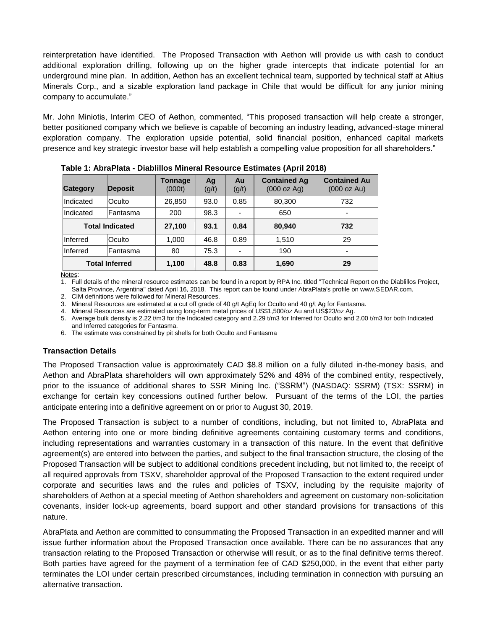reinterpretation have identified. The Proposed Transaction with Aethon will provide us with cash to conduct additional exploration drilling, following up on the higher grade intercepts that indicate potential for an underground mine plan. In addition, Aethon has an excellent technical team, supported by technical staff at Altius Minerals Corp., and a sizable exploration land package in Chile that would be difficult for any junior mining company to accumulate."

Mr. John Miniotis, Interim CEO of Aethon, commented, "This proposed transaction will help create a stronger, better positioned company which we believe is capable of becoming an industry leading, advanced-stage mineral exploration company. The exploration upside potential, solid financial position, enhanced capital markets presence and key strategic investor base will help establish a compelling value proposition for all shareholders."

| <b>Category</b>        | Deposit  | Tonnage<br>(000t) | Ag<br>(g/t) | Au<br>(g/t) | <b>Contained Ag</b><br>(000 oz Ag) | <b>Contained Au</b><br>(000 oz Au) |
|------------------------|----------|-------------------|-------------|-------------|------------------------------------|------------------------------------|
| Indicated              | Oculto   | 26,850            | 93.0        | 0.85        | 80,300                             | 732                                |
| Indicated              | Fantasma | 200               | 98.3        | ٠           | 650                                |                                    |
| <b>Total Indicated</b> |          | 27,100            | 93.1        | 0.84        | 80,940                             | 732                                |
| Inferred               | Oculto   | 1,000             | 46.8        | 0.89        | 1,510                              | 29                                 |
| Inferred               | Fantasma | 80                | 75.3        |             | 190                                | $\overline{\phantom{0}}$           |
| <b>Total Inferred</b>  |          | 1,100             | 48.8        | 0.83        | 1,690                              | 29                                 |

**Table 1: AbraPlata - Diablillos Mineral Resource Estimates (April 2018)**

Notes:

1. Full details of the mineral resource estimates can be found in a report by RPA Inc. titled "Technical Report on the Diablillos Project, Salta Province, Argentina" dated April 16, 2018. This report can be found under AbraPlata's profile on www.SEDAR.com.

2. CIM definitions were followed for Mineral Resources.

3. Mineral Resources are estimated at a cut off grade of 40 g/t AgEq for Oculto and 40 g/t Ag for Fantasma.

4. Mineral Resources are estimated using long-term metal prices of US\$1,500/oz Au and US\$23/oz Ag.

5. Average bulk density is 2.22 t/m3 for the Indicated category and 2.29 t/m3 for Inferred for Oculto and 2.00 t/m3 for both Indicated and Inferred categories for Fantasma.

6. The estimate was constrained by pit shells for both Oculto and Fantasma

#### **Transaction Details**

The Proposed Transaction value is approximately CAD \$8.8 million on a fully diluted in-the-money basis, and Aethon and AbraPlata shareholders will own approximately 52% and 48% of the combined entity, respectively, prior to the issuance of additional shares to SSR Mining Inc. ("SSRM") (NASDAQ: SSRM) (TSX: SSRM) in exchange for certain key concessions outlined further below. Pursuant of the terms of the LOI, the parties anticipate entering into a definitive agreement on or prior to August 30, 2019.

The Proposed Transaction is subject to a number of conditions, including, but not limited to, AbraPlata and Aethon entering into one or more binding definitive agreements containing customary terms and conditions, including representations and warranties customary in a transaction of this nature. In the event that definitive agreement(s) are entered into between the parties, and subject to the final transaction structure, the closing of the Proposed Transaction will be subject to additional conditions precedent including, but not limited to, the receipt of all required approvals from TSXV, shareholder approval of the Proposed Transaction to the extent required under corporate and securities laws and the rules and policies of TSXV, including by the requisite majority of shareholders of Aethon at a special meeting of Aethon shareholders and agreement on customary non-solicitation covenants, insider lock-up agreements, board support and other standard provisions for transactions of this nature.

AbraPlata and Aethon are committed to consummating the Proposed Transaction in an expedited manner and will issue further information about the Proposed Transaction once available. There can be no assurances that any transaction relating to the Proposed Transaction or otherwise will result, or as to the final definitive terms thereof. Both parties have agreed for the payment of a termination fee of CAD \$250,000, in the event that either party terminates the LOI under certain prescribed circumstances, including termination in connection with pursuing an alternative transaction.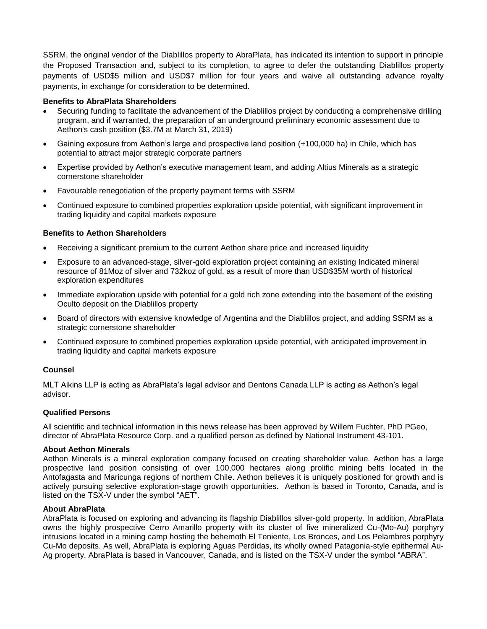SSRM, the original vendor of the Diablillos property to AbraPlata, has indicated its intention to support in principle the Proposed Transaction and, subject to its completion, to agree to defer the outstanding Diablillos property payments of USD\$5 million and USD\$7 million for four years and waive all outstanding advance royalty payments, in exchange for consideration to be determined.

### **Benefits to AbraPlata Shareholders**

- Securing funding to facilitate the advancement of the Diablillos project by conducting a comprehensive drilling program, and if warranted, the preparation of an underground preliminary economic assessment due to Aethon's cash position (\$3.7M at March 31, 2019)
- Gaining exposure from Aethon's large and prospective land position (+100,000 ha) in Chile, which has potential to attract major strategic corporate partners
- Expertise provided by Aethon's executive management team, and adding Altius Minerals as a strategic cornerstone shareholder
- Favourable renegotiation of the property payment terms with SSRM
- Continued exposure to combined properties exploration upside potential, with significant improvement in trading liquidity and capital markets exposure

### **Benefits to Aethon Shareholders**

- Receiving a significant premium to the current Aethon share price and increased liquidity
- Exposure to an advanced-stage, silver-gold exploration project containing an existing Indicated mineral resource of 81Moz of silver and 732koz of gold, as a result of more than USD\$35M worth of historical exploration expenditures
- Immediate exploration upside with potential for a gold rich zone extending into the basement of the existing Oculto deposit on the Diablillos property
- Board of directors with extensive knowledge of Argentina and the Diablillos project, and adding SSRM as a strategic cornerstone shareholder
- Continued exposure to combined properties exploration upside potential, with anticipated improvement in trading liquidity and capital markets exposure

#### **Counsel**

MLT Aikins LLP is acting as AbraPlata's legal advisor and Dentons Canada LLP is acting as Aethon's legal advisor.

#### **Qualified Persons**

All scientific and technical information in this news release has been approved by Willem Fuchter, PhD PGeo, director of AbraPlata Resource Corp. and a qualified person as defined by National Instrument 43-101.

#### **About Aethon Minerals**

Aethon Minerals is a mineral exploration company focused on creating shareholder value. Aethon has a large prospective land position consisting of over 100,000 hectares along prolific mining belts located in the Antofagasta and Maricunga regions of northern Chile. Aethon believes it is uniquely positioned for growth and is actively pursuing selective exploration-stage growth opportunities. Aethon is based in Toronto, Canada, and is listed on the TSX-V under the symbol "AET".

#### **About AbraPlata**

AbraPlata is focused on exploring and advancing its flagship Diablillos silver-gold property. In addition, AbraPlata owns the highly prospective Cerro Amarillo property with its cluster of five mineralized Cu-(Mo-Au) porphyry intrusions located in a mining camp hosting the behemoth El Teniente, Los Bronces, and Los Pelambres porphyry Cu-Mo deposits. As well, AbraPlata is exploring Aguas Perdidas, its wholly owned Patagonia-style epithermal Au-Ag property. AbraPlata is based in Vancouver, Canada, and is listed on the TSX-V under the symbol "ABRA".